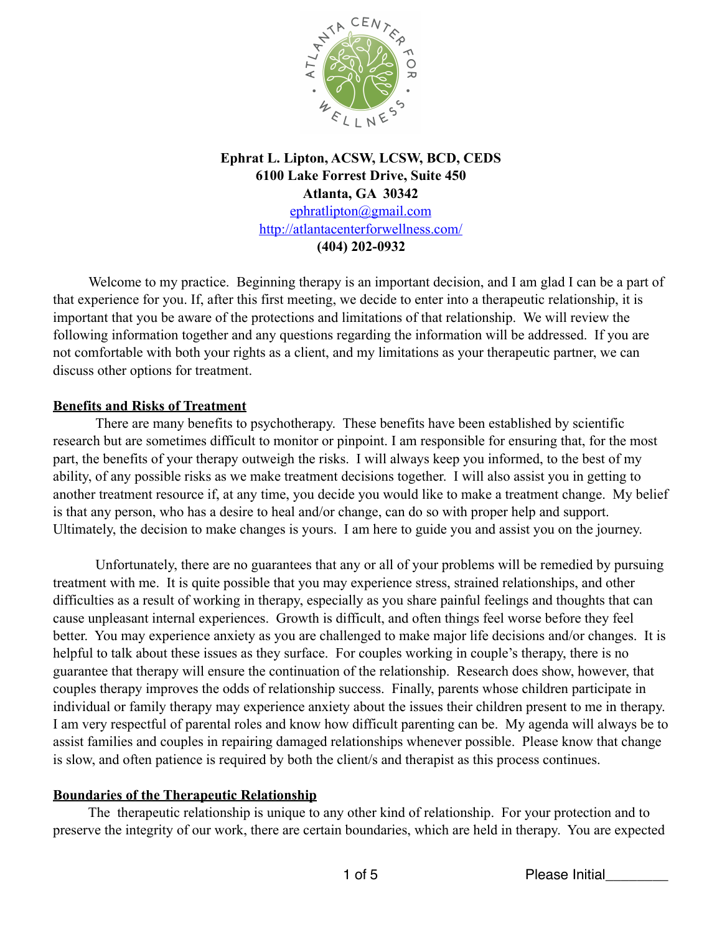

# **Ephrat L. Lipton, ACSW, LCSW, BCD, CEDS 6100 Lake Forrest Drive, Suite 450 Atlanta, GA 30342** [ephratlipton@gmail.com](mailto:ephratlipton@gmail.com) <http://atlantacenterforwellness.com/> **(404) 202-0932**

Welcome to my practice. Beginning therapy is an important decision, and I am glad I can be a part of that experience for you. If, after this first meeting, we decide to enter into a therapeutic relationship, it is important that you be aware of the protections and limitations of that relationship. We will review the following information together and any questions regarding the information will be addressed. If you are not comfortable with both your rights as a client, and my limitations as your therapeutic partner, we can discuss other options for treatment.

### **Benefits and Risks of Treatment**

There are many benefits to psychotherapy. These benefits have been established by scientific research but are sometimes difficult to monitor or pinpoint. I am responsible for ensuring that, for the most part, the benefits of your therapy outweigh the risks. I will always keep you informed, to the best of my ability, of any possible risks as we make treatment decisions together. I will also assist you in getting to another treatment resource if, at any time, you decide you would like to make a treatment change. My belief is that any person, who has a desire to heal and/or change, can do so with proper help and support. Ultimately, the decision to make changes is yours. I am here to guide you and assist you on the journey.

 Unfortunately, there are no guarantees that any or all of your problems will be remedied by pursuing treatment with me. It is quite possible that you may experience stress, strained relationships, and other difficulties as a result of working in therapy, especially as you share painful feelings and thoughts that can cause unpleasant internal experiences. Growth is difficult, and often things feel worse before they feel better. You may experience anxiety as you are challenged to make major life decisions and/or changes. It is helpful to talk about these issues as they surface. For couples working in couple's therapy, there is no guarantee that therapy will ensure the continuation of the relationship. Research does show, however, that couples therapy improves the odds of relationship success. Finally, parents whose children participate in individual or family therapy may experience anxiety about the issues their children present to me in therapy. I am very respectful of parental roles and know how difficult parenting can be. My agenda will always be to assist families and couples in repairing damaged relationships whenever possible. Please know that change is slow, and often patience is required by both the client/s and therapist as this process continues.

## **Boundaries of the Therapeutic Relationship**

 The therapeutic relationship is unique to any other kind of relationship. For your protection and to preserve the integrity of our work, there are certain boundaries, which are held in therapy. You are expected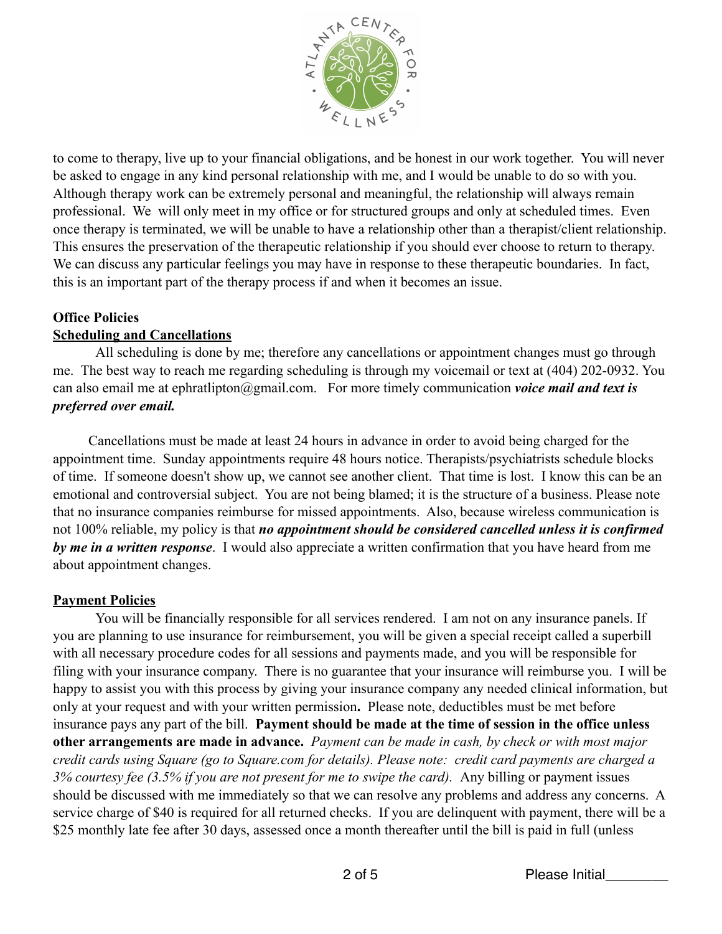

to come to therapy, live up to your financial obligations, and be honest in our work together. You will never be asked to engage in any kind personal relationship with me, and I would be unable to do so with you. Although therapy work can be extremely personal and meaningful, the relationship will always remain professional. We will only meet in my office or for structured groups and only at scheduled times. Even once therapy is terminated, we will be unable to have a relationship other than a therapist/client relationship. This ensures the preservation of the therapeutic relationship if you should ever choose to return to therapy. We can discuss any particular feelings you may have in response to these therapeutic boundaries. In fact, this is an important part of the therapy process if and when it becomes an issue.

#### **Office Policies Scheduling and Cancellations**

 All scheduling is done by me; therefore any cancellations or appointment changes must go through me. The best way to reach me regarding scheduling is through my voicemail or text at (404) 202-0932. You can also email me at ephratlipton@gmail.com. For more timely communication *voice mail and text is preferred over email.* 

Cancellations must be made at least 24 hours in advance in order to avoid being charged for the appointment time. Sunday appointments require 48 hours notice. Therapists/psychiatrists schedule blocks of time. If someone doesn't show up, we cannot see another client. That time is lost. I know this can be an emotional and controversial subject. You are not being blamed; it is the structure of a business. Please note that no insurance companies reimburse for missed appointments. Also, because wireless communication is not 100% reliable, my policy is that *no appointment should be considered cancelled unless it is confirmed by me in a written response*. I would also appreciate a written confirmation that you have heard from me about appointment changes.

## **Payment Policies**

 You will be financially responsible for all services rendered. I am not on any insurance panels. If you are planning to use insurance for reimbursement, you will be given a special receipt called a superbill with all necessary procedure codes for all sessions and payments made, and you will be responsible for filing with your insurance company. There is no guarantee that your insurance will reimburse you. I will be happy to assist you with this process by giving your insurance company any needed clinical information, but only at your request and with your written permission**.** Please note, deductibles must be met before insurance pays any part of the bill. **Payment should be made at the time of session in the office unless other arrangements are made in advance.** *Payment can be made in cash, by check or with most major credit cards using Square (go to Square.com for details). Please note: credit card payments are charged a 3% courtesy fee (3.5% if you are not present for me to swipe the card).* Any billing or payment issues should be discussed with me immediately so that we can resolve any problems and address any concerns. A service charge of \$40 is required for all returned checks. If you are delinquent with payment, there will be a \$25 monthly late fee after 30 days, assessed once a month thereafter until the bill is paid in full (unless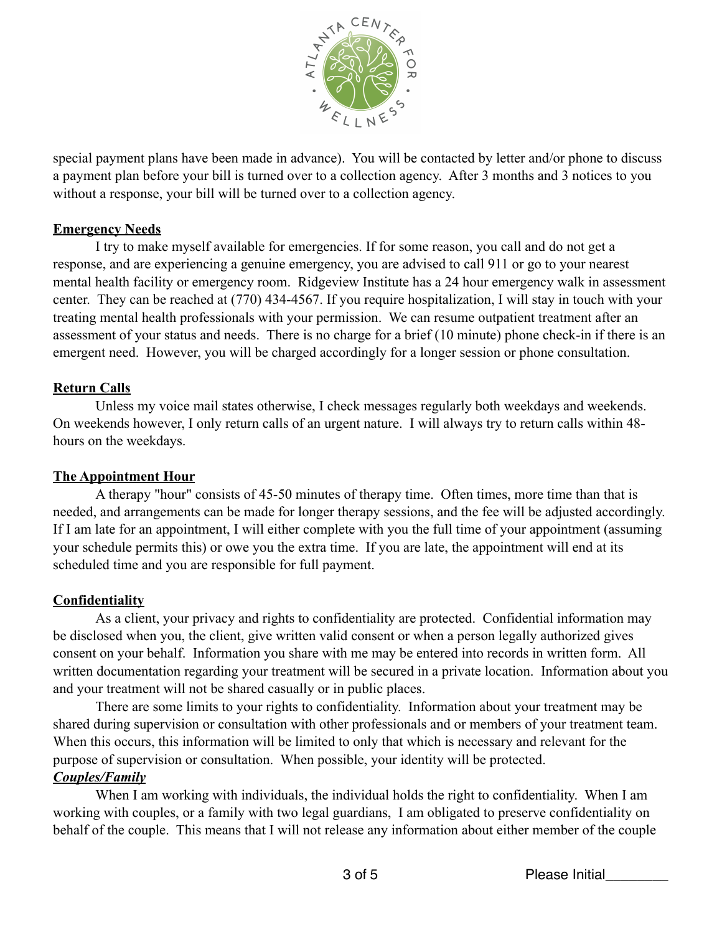

special payment plans have been made in advance). You will be contacted by letter and/or phone to discuss a payment plan before your bill is turned over to a collection agency. After 3 months and 3 notices to you without a response, your bill will be turned over to a collection agency.

### **Emergency Needs**

 I try to make myself available for emergencies. If for some reason, you call and do not get a response, and are experiencing a genuine emergency, you are advised to call 911 or go to your nearest mental health facility or emergency room. Ridgeview Institute has a 24 hour emergency walk in assessment center. They can be reached at (770) 434-4567. If you require hospitalization, I will stay in touch with your treating mental health professionals with your permission. We can resume outpatient treatment after an assessment of your status and needs. There is no charge for a brief (10 minute) phone check-in if there is an emergent need. However, you will be charged accordingly for a longer session or phone consultation.

### **Return Calls**

 Unless my voice mail states otherwise, I check messages regularly both weekdays and weekends. On weekends however, I only return calls of an urgent nature. I will always try to return calls within 48 hours on the weekdays.

## **The Appointment Hour**

A therapy "hour" consists of 45-50 minutes of therapy time. Often times, more time than that is needed, and arrangements can be made for longer therapy sessions, and the fee will be adjusted accordingly. If I am late for an appointment, I will either complete with you the full time of your appointment (assuming your schedule permits this) or owe you the extra time. If you are late, the appointment will end at its scheduled time and you are responsible for full payment.

## **Confidentiality**

As a client, your privacy and rights to confidentiality are protected. Confidential information may be disclosed when you, the client, give written valid consent or when a person legally authorized gives consent on your behalf. Information you share with me may be entered into records in written form. All written documentation regarding your treatment will be secured in a private location. Information about you and your treatment will not be shared casually or in public places.

 There are some limits to your rights to confidentiality. Information about your treatment may be shared during supervision or consultation with other professionals and or members of your treatment team. When this occurs, this information will be limited to only that which is necessary and relevant for the purpose of supervision or consultation. When possible, your identity will be protected.

### *Couples/Family*

When I am working with individuals, the individual holds the right to confidentiality. When I am working with couples, or a family with two legal guardians, I am obligated to preserve confidentiality on behalf of the couple. This means that I will not release any information about either member of the couple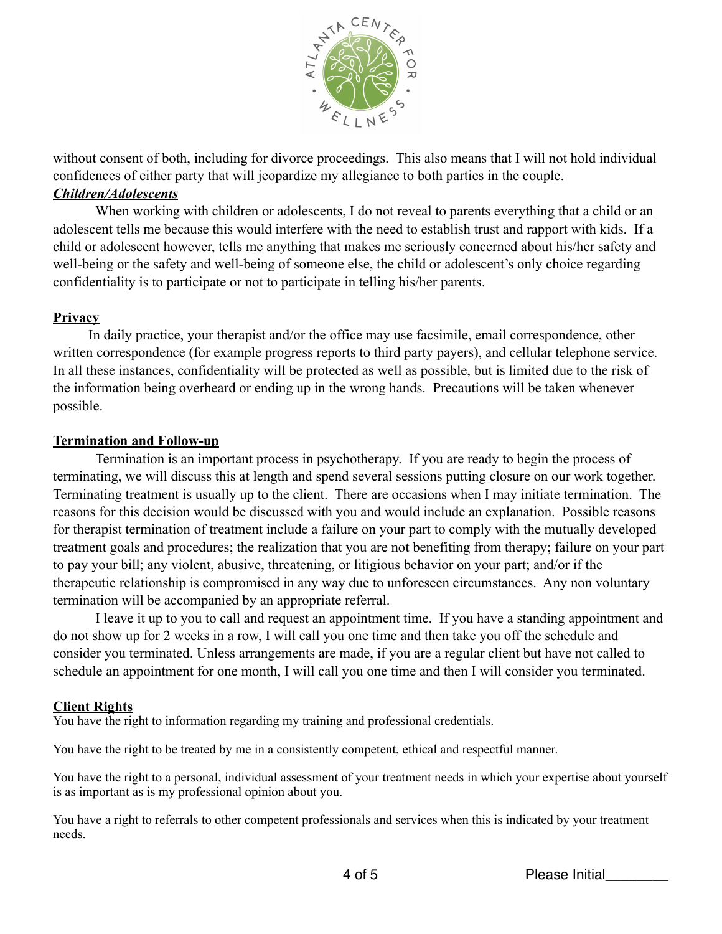

without consent of both, including for divorce proceedings. This also means that I will not hold individual confidences of either party that will jeopardize my allegiance to both parties in the couple.

#### *Children/Adolescents*

When working with children or adolescents, I do not reveal to parents everything that a child or an adolescent tells me because this would interfere with the need to establish trust and rapport with kids. If a child or adolescent however, tells me anything that makes me seriously concerned about his/her safety and well-being or the safety and well-being of someone else, the child or adolescent's only choice regarding confidentiality is to participate or not to participate in telling his/her parents.

### **Privacy**

 In daily practice, your therapist and/or the office may use facsimile, email correspondence, other written correspondence (for example progress reports to third party payers), and cellular telephone service. In all these instances, confidentiality will be protected as well as possible, but is limited due to the risk of the information being overheard or ending up in the wrong hands. Precautions will be taken whenever possible.

#### **Termination and Follow-up**

Termination is an important process in psychotherapy. If you are ready to begin the process of terminating, we will discuss this at length and spend several sessions putting closure on our work together. Terminating treatment is usually up to the client. There are occasions when I may initiate termination. The reasons for this decision would be discussed with you and would include an explanation. Possible reasons for therapist termination of treatment include a failure on your part to comply with the mutually developed treatment goals and procedures; the realization that you are not benefiting from therapy; failure on your part to pay your bill; any violent, abusive, threatening, or litigious behavior on your part; and/or if the therapeutic relationship is compromised in any way due to unforeseen circumstances. Any non voluntary termination will be accompanied by an appropriate referral.

I leave it up to you to call and request an appointment time. If you have a standing appointment and do not show up for 2 weeks in a row, I will call you one time and then take you off the schedule and consider you terminated. Unless arrangements are made, if you are a regular client but have not called to schedule an appointment for one month, I will call you one time and then I will consider you terminated.

### **Client Rights**

You have the right to information regarding my training and professional credentials.

You have the right to be treated by me in a consistently competent, ethical and respectful manner.

You have the right to a personal, individual assessment of your treatment needs in which your expertise about yourself is as important as is my professional opinion about you.

You have a right to referrals to other competent professionals and services when this is indicated by your treatment needs.